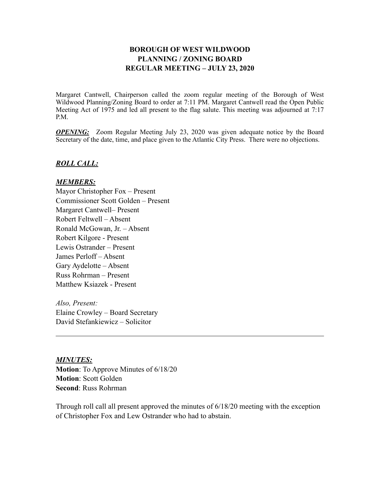## **BOROUGH OF WEST WILDWOOD PLANNING / ZONING BOARD REGULAR MEETING – JULY 23, 2020**

Margaret Cantwell, Chairperson called the zoom regular meeting of the Borough of West Wildwood Planning/Zoning Board to order at 7:11 PM. Margaret Cantwell read the Open Public Meeting Act of 1975 and led all present to the flag salute. This meeting was adjourned at 7:17 P.M.

*OPENING:* Zoom Regular Meeting July 23, 2020 was given adequate notice by the Board Secretary of the date, time, and place given to the Atlantic City Press. There were no objections.

### *ROLL CALL:*

#### *MEMBERS:*

Mayor Christopher Fox – Present Commissioner Scott Golden – Present Margaret Cantwell– Present Robert Feltwell – Absent Ronald McGowan, Jr. – Absent Robert Kilgore - Present Lewis Ostrander – Present James Perloff – Absent Gary Aydelotte – Absent Russ Rohrman – Present Matthew Ksiazek - Present

*Also, Present:* Elaine Crowley – Board Secretary David Stefankiewicz – Solicitor

*MINUTES:*

**Motion**: To Approve Minutes of 6/18/20 **Motion**: Scott Golden **Second**: Russ Rohrman

Through roll call all present approved the minutes of 6/18/20 meeting with the exception of Christopher Fox and Lew Ostrander who had to abstain.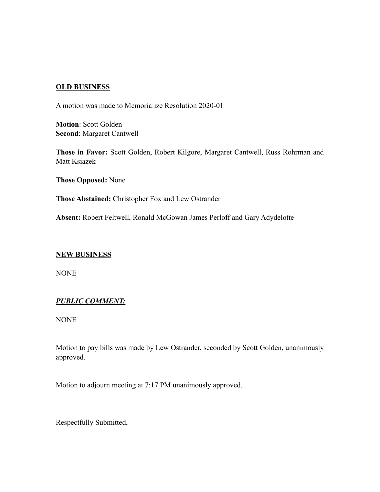## **OLD BUSINESS**

A motion was made to Memorialize Resolution 2020-01

**Motion**: Scott Golden **Second**: Margaret Cantwell

**Those in Favor:** Scott Golden, Robert Kilgore, Margaret Cantwell, Russ Rohrman and Matt Ksiazek

**Those Opposed:** None

**Those Abstained:** Christopher Fox and Lew Ostrander

**Absent:** Robert Feltwell, Ronald McGowan James Perloff and Gary Adydelotte

### **NEW BUSINESS**

NONE

# *PUBLIC COMMENT:*

NONE

Motion to pay bills was made by Lew Ostrander, seconded by Scott Golden, unanimously approved.

Motion to adjourn meeting at 7:17 PM unanimously approved.

Respectfully Submitted,